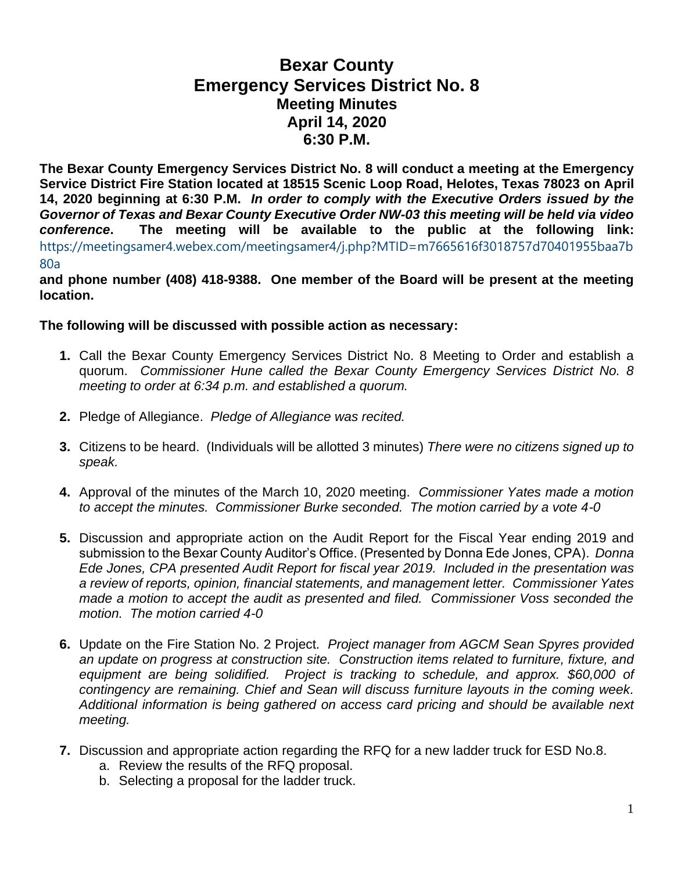## **Bexar County Emergency Services District No. 8 Meeting Minutes April 14, 2020 6:30 P.M.**

**The Bexar County Emergency Services District No. 8 will conduct a meeting at the Emergency Service District Fire Station located at 18515 Scenic Loop Road, Helotes, Texas 78023 on April 14, 2020 beginning at 6:30 P.M.** *In order to comply with the Executive Orders issued by the Governor of Texas and Bexar County Executive Order NW-03 this meeting will be held via video conference***. The meeting will be available to the public at the following link:** https://meetingsamer4.webex.com/meetingsamer4/j.php?MTID=m7665616f3018757d70401955baa7b 80a

**and phone number (408) 418-9388. One member of the Board will be present at the meeting location.**

## **The following will be discussed with possible action as necessary:**

- **1.** Call the Bexar County Emergency Services District No. 8 Meeting to Order and establish a quorum. *Commissioner Hune called the Bexar County Emergency Services District No. 8 meeting to order at 6:34 p.m. and established a quorum.*
- **2.** Pledge of Allegiance. *Pledge of Allegiance was recited.*
- **3.** Citizens to be heard. (Individuals will be allotted 3 minutes) *There were no citizens signed up to speak.*
- **4.** Approval of the minutes of the March 10, 2020 meeting. *Commissioner Yates made a motion to accept the minutes. Commissioner Burke seconded. The motion carried by a vote 4-0*
- **5.** Discussion and appropriate action on the Audit Report for the Fiscal Year ending 2019 and submission to the Bexar County Auditor's Office. (Presented by Donna Ede Jones, CPA). *Donna Ede Jones, CPA presented Audit Report for fiscal year 2019. Included in the presentation was a review of reports, opinion, financial statements, and management letter. Commissioner Yates made a motion to accept the audit as presented and filed. Commissioner Voss seconded the motion. The motion carried 4-0*
- **6.** Update on the Fire Station No. 2 Project. *Project manager from AGCM Sean Spyres provided an update on progress at construction site. Construction items related to furniture, fixture, and equipment are being solidified. Project is tracking to schedule, and approx. \$60,000 of contingency are remaining. Chief and Sean will discuss furniture layouts in the coming week. Additional information is being gathered on access card pricing and should be available next meeting.*
- **7.** Discussion and appropriate action regarding the RFQ for a new ladder truck for ESD No.8.
	- a. Review the results of the RFQ proposal.
	- b. Selecting a proposal for the ladder truck.